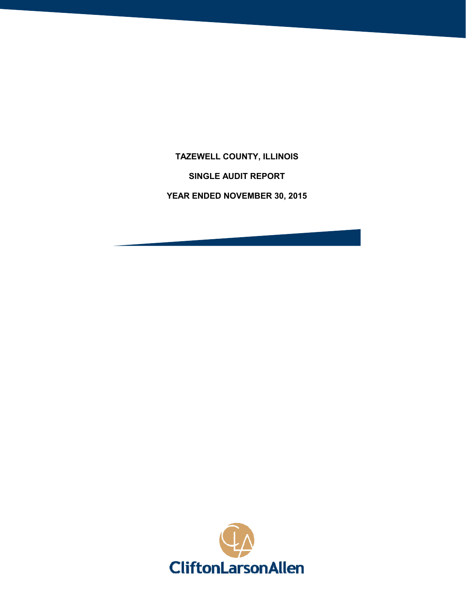**TAZEWELL COUNTY, ILLINOIS**

**SINGLE AUDIT REPORT**

**YEAR ENDED NOVEMBER 30, 2015**

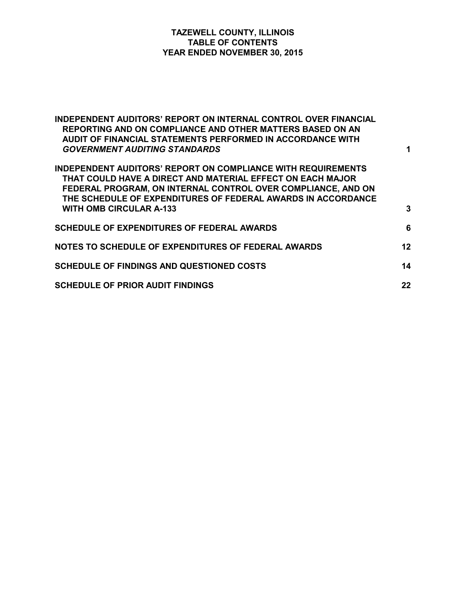## **TAZEWELL COUNTY, ILLINOIS TABLE OF CONTENTS YEAR ENDED NOVEMBER 30, 2015**

| <b>INDEPENDENT AUDITORS' REPORT ON INTERNAL CONTROL OVER FINANCIAL</b><br>REPORTING AND ON COMPLIANCE AND OTHER MATTERS BASED ON AN<br>AUDIT OF FINANCIAL STATEMENTS PERFORMED IN ACCORDANCE WITH<br><b>GOVERNMENT AUDITING STANDARDS</b>                                                           |    |
|-----------------------------------------------------------------------------------------------------------------------------------------------------------------------------------------------------------------------------------------------------------------------------------------------------|----|
| <b>INDEPENDENT AUDITORS' REPORT ON COMPLIANCE WITH REQUIREMENTS</b><br>THAT COULD HAVE A DIRECT AND MATERIAL EFFECT ON EACH MAJOR<br>FEDERAL PROGRAM, ON INTERNAL CONTROL OVER COMPLIANCE, AND ON<br>THE SCHEDULE OF EXPENDITURES OF FEDERAL AWARDS IN ACCORDANCE<br><b>WITH OMB CIRCULAR A-133</b> | 3  |
| <b>SCHEDULE OF EXPENDITURES OF FEDERAL AWARDS</b>                                                                                                                                                                                                                                                   | 6  |
| NOTES TO SCHEDULE OF EXPENDITURES OF FEDERAL AWARDS                                                                                                                                                                                                                                                 | 12 |
| <b>SCHEDULE OF FINDINGS AND QUESTIONED COSTS</b>                                                                                                                                                                                                                                                    | 14 |
| <b>SCHEDULE OF PRIOR AUDIT FINDINGS</b>                                                                                                                                                                                                                                                             | 22 |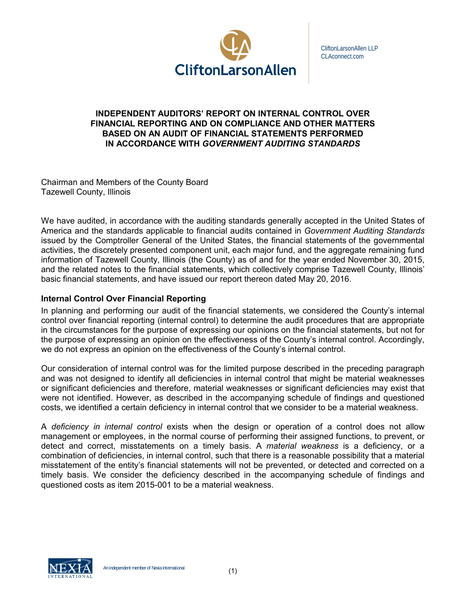

CliftonLarsonAllen LLP CLAconnect.com

# **INDEPENDENT AUDITORS' REPORT ON INTERNAL CONTROL OVER FINANCIAL REPORTING AND ON COMPLIANCE AND OTHER MATTERS BASED ON AN AUDIT OF FINANCIAL STATEMENTS PERFORMED IN ACCORDANCE WITH** *GOVERNMENT AUDITING STANDARDS*

Chairman and Members of the County Board Tazewell County, Illinois

We have audited, in accordance with the auditing standards generally accepted in the United States of America and the standards applicable to financial audits contained in *Government Auditing Standards*  issued by the Comptroller General of the United States, the financial statements of the governmental activities, the discretely presented component unit, each major fund, and the aggregate remaining fund information of Tazewell County, Illinois (the County) as of and for the year ended November 30, 2015, and the related notes to the financial statements, which collectively comprise Tazewell County, Illinois' basic financial statements, and have issued our report thereon dated May 20, 2016.

# **Internal Control Over Financial Reporting**

In planning and performing our audit of the financial statements, we considered the County's internal control over financial reporting (internal control) to determine the audit procedures that are appropriate in the circumstances for the purpose of expressing our opinions on the financial statements, but not for the purpose of expressing an opinion on the effectiveness of the County's internal control. Accordingly, we do not express an opinion on the effectiveness of the County's internal control.

Our consideration of internal control was for the limited purpose described in the preceding paragraph and was not designed to identify all deficiencies in internal control that might be material weaknesses or significant deficiencies and therefore, material weaknesses or significant deficiencies may exist that were not identified. However, as described in the accompanying schedule of findings and questioned costs, we identified a certain deficiency in internal control that we consider to be a material weakness.

A *deficiency in internal control* exists when the design or operation of a control does not allow management or employees, in the normal course of performing their assigned functions, to prevent, or detect and correct, misstatements on a timely basis. A *material weakness* is a deficiency, or a combination of deficiencies, in internal control, such that there is a reasonable possibility that a material misstatement of the entity's financial statements will not be prevented, or detected and corrected on a timely basis. We consider the deficiency described in the accompanying schedule of findings and questioned costs as item 2015-001 to be a material weakness.



An independent member of Nexia International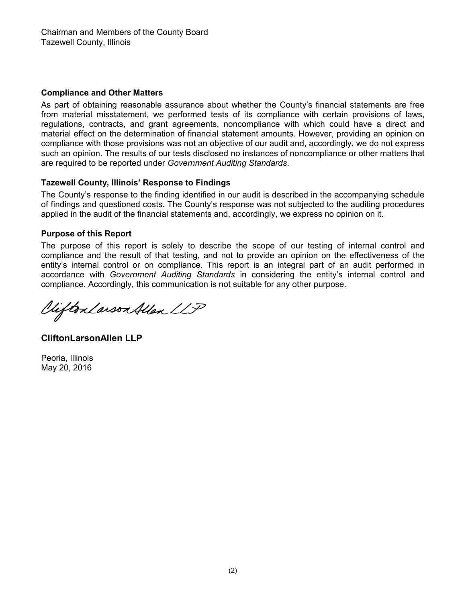### **Compliance and Other Matters**

As part of obtaining reasonable assurance about whether the County's financial statements are free from material misstatement, we performed tests of its compliance with certain provisions of laws, regulations, contracts, and grant agreements, noncompliance with which could have a direct and material effect on the determination of financial statement amounts. However, providing an opinion on compliance with those provisions was not an objective of our audit and, accordingly, we do not express such an opinion. The results of our tests disclosed no instances of noncompliance or other matters that are required to be reported under *Government Auditing Standards*.

# **Tazewell County, Illinois' Response to Findings**

The County's response to the finding identified in our audit is described in the accompanying schedule of findings and questioned costs. The County's response was not subjected to the auditing procedures applied in the audit of the financial statements and, accordingly, we express no opinion on it.

## **Purpose of this Report**

The purpose of this report is solely to describe the scope of our testing of internal control and compliance and the result of that testing, and not to provide an opinion on the effectiveness of the entity's internal control or on compliance. This report is an integral part of an audit performed in accordance with *Government Auditing Standards* in considering the entity's internal control and compliance. Accordingly, this communication is not suitable for any other purpose.

Viifton Larson Allen LLP

**CliftonLarsonAllen LLP**

Peoria, Illinois May 20, 2016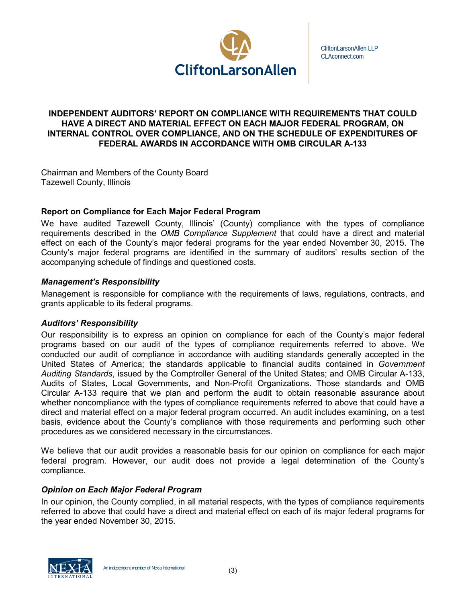

CliftonLarsonAllen LLP CLAconnect.com

# **INDEPENDENT AUDITORS' REPORT ON COMPLIANCE WITH REQUIREMENTS THAT COULD HAVE A DIRECT AND MATERIAL EFFECT ON EACH MAJOR FEDERAL PROGRAM, ON INTERNAL CONTROL OVER COMPLIANCE, AND ON THE SCHEDULE OF EXPENDITURES OF FEDERAL AWARDS IN ACCORDANCE WITH OMB CIRCULAR A-133**

Chairman and Members of the County Board Tazewell County, Illinois

# **Report on Compliance for Each Major Federal Program**

We have audited Tazewell County, Illinois' (County) compliance with the types of compliance requirements described in the *OMB Compliance Supplement* that could have a direct and material effect on each of the County's major federal programs for the year ended November 30, 2015. The County's major federal programs are identified in the summary of auditors' results section of the accompanying schedule of findings and questioned costs.

# *Management's Responsibility*

Management is responsible for compliance with the requirements of laws, regulations, contracts, and grants applicable to its federal programs.

# *Auditors' Responsibility*

Our responsibility is to express an opinion on compliance for each of the County's major federal programs based on our audit of the types of compliance requirements referred to above. We conducted our audit of compliance in accordance with auditing standards generally accepted in the United States of America; the standards applicable to financial audits contained in *Government Auditing Standards*, issued by the Comptroller General of the United States; and OMB Circular A-133, Audits of States, Local Governments, and Non-Profit Organizations. Those standards and OMB Circular A-133 require that we plan and perform the audit to obtain reasonable assurance about whether noncompliance with the types of compliance requirements referred to above that could have a direct and material effect on a major federal program occurred. An audit includes examining, on a test basis, evidence about the County's compliance with those requirements and performing such other procedures as we considered necessary in the circumstances.

We believe that our audit provides a reasonable basis for our opinion on compliance for each major federal program. However, our audit does not provide a legal determination of the County's compliance.

# *Opinion on Each Major Federal Program*

In our opinion, the County complied, in all material respects, with the types of compliance requirements referred to above that could have a direct and material effect on each of its major federal programs for the year ended November 30, 2015.

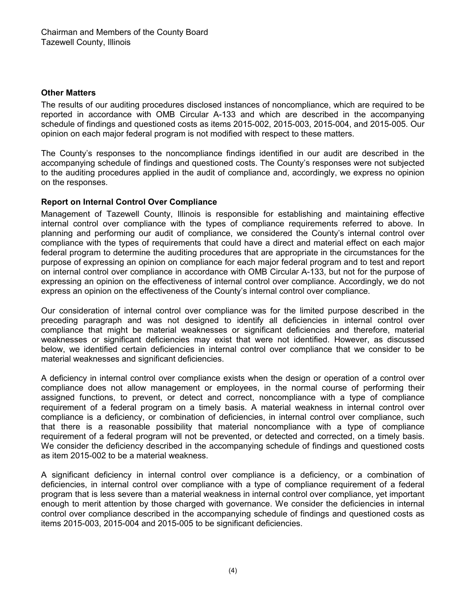## **Other Matters**

The results of our auditing procedures disclosed instances of noncompliance, which are required to be reported in accordance with OMB Circular A-133 and which are described in the accompanying schedule of findings and questioned costs as items 2015-002, 2015-003, 2015-004, and 2015-005. Our opinion on each major federal program is not modified with respect to these matters.

The County's responses to the noncompliance findings identified in our audit are described in the accompanying schedule of findings and questioned costs. The County's responses were not subjected to the auditing procedures applied in the audit of compliance and, accordingly, we express no opinion on the responses.

### **Report on Internal Control Over Compliance**

Management of Tazewell County, Illinois is responsible for establishing and maintaining effective internal control over compliance with the types of compliance requirements referred to above. In planning and performing our audit of compliance, we considered the County's internal control over compliance with the types of requirements that could have a direct and material effect on each major federal program to determine the auditing procedures that are appropriate in the circumstances for the purpose of expressing an opinion on compliance for each major federal program and to test and report on internal control over compliance in accordance with OMB Circular A-133, but not for the purpose of expressing an opinion on the effectiveness of internal control over compliance. Accordingly, we do not express an opinion on the effectiveness of the County's internal control over compliance.

Our consideration of internal control over compliance was for the limited purpose described in the preceding paragraph and was not designed to identify all deficiencies in internal control over compliance that might be material weaknesses or significant deficiencies and therefore, material weaknesses or significant deficiencies may exist that were not identified. However, as discussed below, we identified certain deficiencies in internal control over compliance that we consider to be material weaknesses and significant deficiencies.

A deficiency in internal control over compliance exists when the design or operation of a control over compliance does not allow management or employees, in the normal course of performing their assigned functions, to prevent, or detect and correct, noncompliance with a type of compliance requirement of a federal program on a timely basis. A material weakness in internal control over compliance is a deficiency, or combination of deficiencies, in internal control over compliance, such that there is a reasonable possibility that material noncompliance with a type of compliance requirement of a federal program will not be prevented, or detected and corrected, on a timely basis. We consider the deficiency described in the accompanying schedule of findings and questioned costs as item 2015-002 to be a material weakness.

A significant deficiency in internal control over compliance is a deficiency, or a combination of deficiencies, in internal control over compliance with a type of compliance requirement of a federal program that is less severe than a material weakness in internal control over compliance, yet important enough to merit attention by those charged with governance. We consider the deficiencies in internal control over compliance described in the accompanying schedule of findings and questioned costs as items 2015-003, 2015-004 and 2015-005 to be significant deficiencies.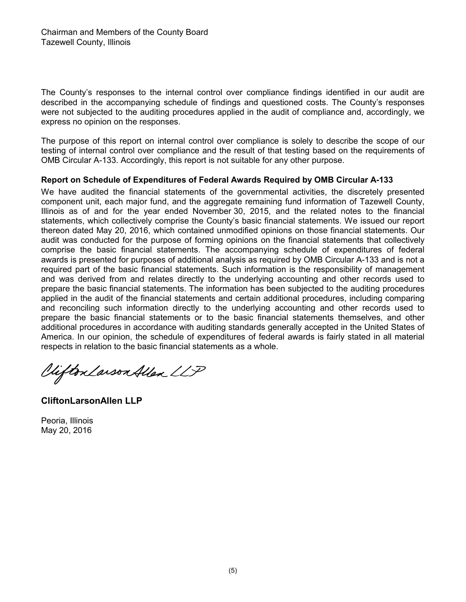The County's responses to the internal control over compliance findings identified in our audit are described in the accompanying schedule of findings and questioned costs. The County's responses were not subjected to the auditing procedures applied in the audit of compliance and, accordingly, we express no opinion on the responses.

The purpose of this report on internal control over compliance is solely to describe the scope of our testing of internal control over compliance and the result of that testing based on the requirements of OMB Circular A-133. Accordingly, this report is not suitable for any other purpose.

# **Report on Schedule of Expenditures of Federal Awards Required by OMB Circular A-133**

We have audited the financial statements of the governmental activities, the discretely presented component unit, each major fund, and the aggregate remaining fund information of Tazewell County, Illinois as of and for the year ended November 30, 2015, and the related notes to the financial statements, which collectively comprise the County's basic financial statements. We issued our report thereon dated May 20, 2016, which contained unmodified opinions on those financial statements. Our audit was conducted for the purpose of forming opinions on the financial statements that collectively comprise the basic financial statements. The accompanying schedule of expenditures of federal awards is presented for purposes of additional analysis as required by OMB Circular A-133 and is not a required part of the basic financial statements. Such information is the responsibility of management and was derived from and relates directly to the underlying accounting and other records used to prepare the basic financial statements. The information has been subjected to the auditing procedures applied in the audit of the financial statements and certain additional procedures, including comparing and reconciling such information directly to the underlying accounting and other records used to prepare the basic financial statements or to the basic financial statements themselves, and other additional procedures in accordance with auditing standards generally accepted in the United States of America. In our opinion, the schedule of expenditures of federal awards is fairly stated in all material respects in relation to the basic fina ncial statements as a whole.

Viifton Larson Allen LLP

**CliftonLarsonAllen LLP**

Peoria, Illinois May 20, 2016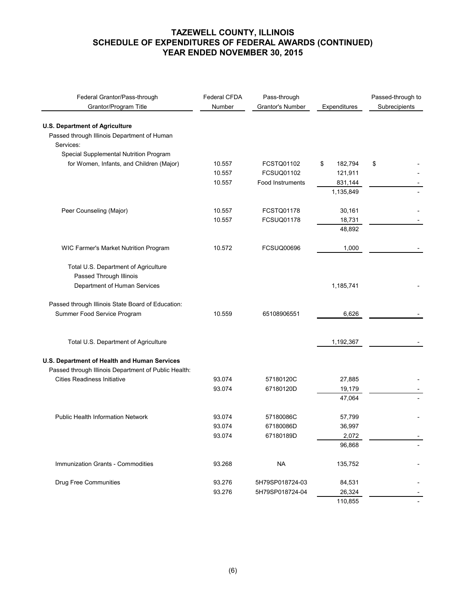| Federal Grantor/Pass-through<br>Grantor/Program Title | Federal CFDA<br>Number | Pass-through<br>Grantor's Number | Expenditures  | Passed-through to<br>Subrecipients |  |
|-------------------------------------------------------|------------------------|----------------------------------|---------------|------------------------------------|--|
|                                                       |                        |                                  |               |                                    |  |
| <b>U.S. Department of Agriculture</b>                 |                        |                                  |               |                                    |  |
| Passed through Illinois Department of Human           |                        |                                  |               |                                    |  |
| Services:                                             |                        |                                  |               |                                    |  |
| Special Supplemental Nutrition Program                |                        |                                  |               |                                    |  |
| for Women, Infants, and Children (Major)              | 10.557                 | FCSTQ01102                       | 182,794<br>\$ | \$                                 |  |
|                                                       | 10.557<br>10.557       | FCSUQ01102                       | 121,911       |                                    |  |
|                                                       |                        | <b>Food Instruments</b>          | 831,144       |                                    |  |
|                                                       |                        |                                  | 1,135,849     |                                    |  |
| Peer Counseling (Major)                               | 10.557                 | FCSTQ01178                       | 30,161        |                                    |  |
|                                                       | 10.557                 | FCSUQ01178                       | 18,731        |                                    |  |
|                                                       |                        |                                  | 48,892        |                                    |  |
| WIC Farmer's Market Nutrition Program                 | 10.572                 | <b>FCSUQ00696</b>                | 1,000         |                                    |  |
|                                                       |                        |                                  |               |                                    |  |
| Total U.S. Department of Agriculture                  |                        |                                  |               |                                    |  |
| Passed Through Illinois                               |                        |                                  |               |                                    |  |
| Department of Human Services                          |                        |                                  | 1,185,741     |                                    |  |
| Passed through Illinois State Board of Education:     |                        |                                  |               |                                    |  |
| Summer Food Service Program                           | 10.559                 | 65108906551                      | 6,626         |                                    |  |
|                                                       |                        |                                  |               |                                    |  |
| Total U.S. Department of Agriculture                  |                        |                                  | 1,192,367     |                                    |  |
| U.S. Department of Health and Human Services          |                        |                                  |               |                                    |  |
| Passed through Illinois Department of Public Health:  |                        |                                  |               |                                    |  |
| <b>Cities Readiness Initiative</b>                    | 93.074                 | 57180120C                        | 27,885        |                                    |  |
|                                                       | 93.074                 | 67180120D                        | 19,179        |                                    |  |
|                                                       |                        |                                  | 47,064        |                                    |  |
| <b>Public Health Information Network</b>              | 93.074                 | 57180086C                        | 57,799        |                                    |  |
|                                                       | 93.074                 | 67180086D                        | 36,997        |                                    |  |
|                                                       | 93.074                 | 67180189D                        | 2,072         |                                    |  |
|                                                       |                        |                                  | 96,868        |                                    |  |
|                                                       |                        |                                  |               |                                    |  |
| Immunization Grants - Commodities                     | 93.268                 | <b>NA</b>                        | 135,752       |                                    |  |
| <b>Drug Free Communities</b>                          | 93.276                 | 5H79SP018724-03                  | 84,531        |                                    |  |
|                                                       | 93.276                 | 5H79SP018724-04                  | 26,324        |                                    |  |
|                                                       |                        |                                  | 110,855       |                                    |  |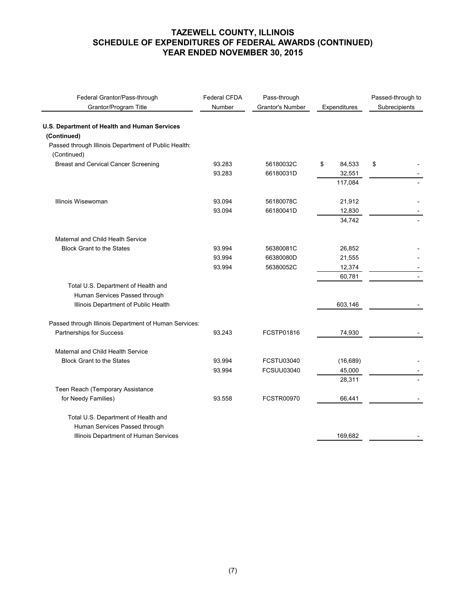| Federal Grantor/Pass-through<br>Grantor/Program Title | Federal CFDA<br>Number | Pass-through<br>Grantor's Number | Expenditures | Passed-through to<br>Subrecipients |
|-------------------------------------------------------|------------------------|----------------------------------|--------------|------------------------------------|
|                                                       |                        |                                  |              |                                    |
| U.S. Department of Health and Human Services          |                        |                                  |              |                                    |
| (Continued)                                           |                        |                                  |              |                                    |
| Passed through Illinois Department of Public Health:  |                        |                                  |              |                                    |
| (Continued)                                           |                        |                                  |              |                                    |
| <b>Breast and Cervical Cancer Screening</b>           | 93.283                 | 56180032C                        | \$<br>84,533 | \$                                 |
|                                                       | 93.283                 | 66180031D                        | 32,551       |                                    |
|                                                       |                        |                                  | 117,084      |                                    |
| Illinois Wisewoman                                    | 93.094                 | 56180078C                        | 21,912       |                                    |
|                                                       | 93.094                 | 66180041D                        | 12,830       |                                    |
|                                                       |                        |                                  | 34,742       |                                    |
| Maternal and Child Heath Service                      |                        |                                  |              |                                    |
| <b>Block Grant to the States</b>                      | 93.994                 | 56380081C                        | 26,852       |                                    |
|                                                       | 93.994                 | 66380080D                        | 21,555       |                                    |
|                                                       | 93.994                 | 56380052C                        | 12,374       |                                    |
|                                                       |                        |                                  | 60,781       | $\overline{a}$                     |
| Total U.S. Department of Health and                   |                        |                                  |              |                                    |
| Human Services Passed through                         |                        |                                  |              |                                    |
| Illinois Department of Public Health                  |                        |                                  | 603,146      |                                    |
| Passed through Illinois Department of Human Services: |                        |                                  |              |                                    |
| Partnerships for Success                              | 93.243                 | <b>FCSTP01816</b>                | 74,930       |                                    |
| Maternal and Child Health Service                     |                        |                                  |              |                                    |
| <b>Block Grant to the States</b>                      | 93.994                 | FCSTU03040                       | (16, 689)    |                                    |
|                                                       | 93.994                 | <b>FCSUU03040</b>                | 45,000       |                                    |
|                                                       |                        |                                  | 28,311       | $\overline{\phantom{a}}$           |
| Teen Reach (Temporary Assistance                      |                        |                                  |              |                                    |
| for Needy Families)                                   | 93.558                 | <b>FCSTR00970</b>                | 66,441       |                                    |
| Total U.S. Department of Health and                   |                        |                                  |              |                                    |
| Human Services Passed through                         |                        |                                  |              |                                    |
| Illinois Department of Human Services                 |                        |                                  | 169,682      |                                    |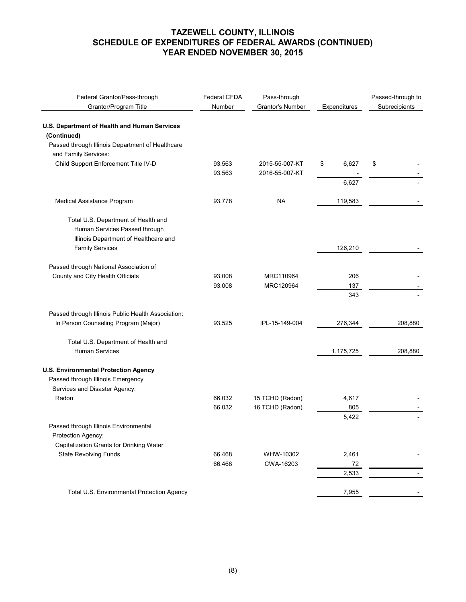| Federal Grantor/Pass-through<br>Grantor/Program Title | <b>Federal CFDA</b><br>Number | Pass-through<br>Grantor's Number | Expenditures | Passed-through to<br>Subrecipients |
|-------------------------------------------------------|-------------------------------|----------------------------------|--------------|------------------------------------|
| U.S. Department of Health and Human Services          |                               |                                  |              |                                    |
| (Continued)                                           |                               |                                  |              |                                    |
| Passed through Illinois Department of Healthcare      |                               |                                  |              |                                    |
| and Family Services:                                  |                               |                                  |              |                                    |
| Child Support Enforcement Title IV-D                  | 93.563                        | 2015-55-007-KT                   | 6,627<br>\$  | \$                                 |
|                                                       | 93.563                        | 2016-55-007-KT                   |              |                                    |
|                                                       |                               |                                  | 6,627        |                                    |
| Medical Assistance Program                            | 93.778                        | NA                               | 119,583      |                                    |
| Total U.S. Department of Health and                   |                               |                                  |              |                                    |
| Human Services Passed through                         |                               |                                  |              |                                    |
| Illinois Department of Healthcare and                 |                               |                                  |              |                                    |
| <b>Family Services</b>                                |                               |                                  | 126,210      |                                    |
| Passed through National Association of                |                               |                                  |              |                                    |
| County and City Health Officials                      | 93.008                        | MRC110964                        | 206          |                                    |
|                                                       | 93.008                        | MRC120964                        | 137          |                                    |
|                                                       |                               |                                  | 343          |                                    |
| Passed through Illinois Public Health Association:    |                               |                                  |              |                                    |
| In Person Counseling Program (Major)                  | 93.525                        | IPL-15-149-004                   | 276,344      | 208,880                            |
| Total U.S. Department of Health and                   |                               |                                  |              |                                    |
| Human Services                                        |                               |                                  | 1,175,725    | 208,880                            |
|                                                       |                               |                                  |              |                                    |
| <b>U.S. Environmental Protection Agency</b>           |                               |                                  |              |                                    |
| Passed through Illinois Emergency                     |                               |                                  |              |                                    |
| Services and Disaster Agency:<br>Radon                | 66.032                        | 15 TCHD (Radon)                  | 4,617        |                                    |
|                                                       | 66.032                        | 16 TCHD (Radon)                  | 805          |                                    |
|                                                       |                               |                                  | 5,422        |                                    |
| Passed through Illinois Environmental                 |                               |                                  |              |                                    |
| Protection Agency:                                    |                               |                                  |              |                                    |
| Capitalization Grants for Drinking Water              |                               |                                  |              |                                    |
| <b>State Revolving Funds</b>                          | 66.468                        | WHW-10302                        | 2,461        |                                    |
|                                                       | 66.468                        | CWA-16203                        | 72           |                                    |
|                                                       |                               |                                  | 2,533        |                                    |
| Total U.S. Environmental Protection Agency            |                               |                                  | 7,955        |                                    |
|                                                       |                               |                                  |              |                                    |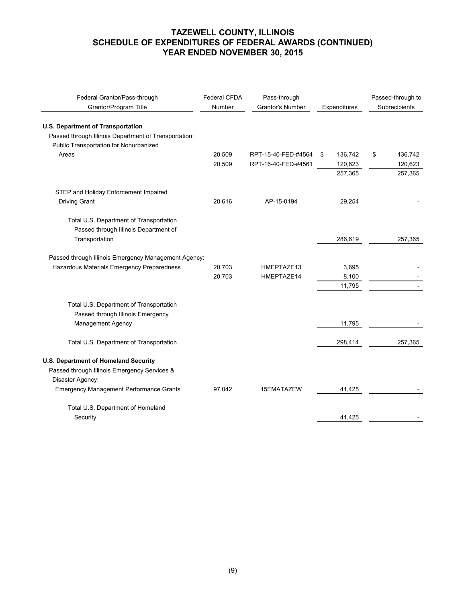| Federal Grantor/Pass-through<br>Grantor/Program Title                                                                                       | Federal CFDA<br>Number | Pass-through<br><b>Grantor's Number</b> | Expenditures | Passed-through to<br>Subrecipients |
|---------------------------------------------------------------------------------------------------------------------------------------------|------------------------|-----------------------------------------|--------------|------------------------------------|
|                                                                                                                                             |                        |                                         |              |                                    |
| <b>U.S. Department of Transportation</b><br>Passed through Illinois Department of Transportation:<br>Public Transportation for Nonurbanized |                        |                                         |              |                                    |
| Areas                                                                                                                                       | 20.509                 | RPT-15-40-FED-#4564                     | 136,742<br>S | \$<br>136,742                      |
|                                                                                                                                             | 20.509                 | RPT-16-40-FED-#4561                     | 120,623      | 120,623                            |
|                                                                                                                                             |                        |                                         | 257,365      | 257,365                            |
| STEP and Holiday Enforcement Impaired                                                                                                       |                        |                                         |              |                                    |
| <b>Driving Grant</b>                                                                                                                        | 20.616                 | AP-15-0194                              | 29,254       |                                    |
| Total U.S. Department of Transportation<br>Passed through Illinois Department of                                                            |                        |                                         |              |                                    |
| Transportation                                                                                                                              |                        |                                         | 286,619      | 257,365                            |
| Passed through Illinois Emergency Management Agency:                                                                                        |                        |                                         |              |                                    |
| Hazardous Materials Emergency Preparedness                                                                                                  | 20.703                 | HMEPTAZE13                              | 3,695        |                                    |
|                                                                                                                                             | 20.703                 | HMEPTAZE14                              | 8,100        |                                    |
|                                                                                                                                             |                        |                                         | 11,795       |                                    |
| Total U.S. Department of Transportation<br>Passed through Illinois Emergency                                                                |                        |                                         |              |                                    |
| <b>Management Agency</b>                                                                                                                    |                        |                                         | 11,795       |                                    |
| Total U.S. Department of Transportation                                                                                                     |                        |                                         | 298,414      | 257,365                            |
| <b>U.S. Department of Homeland Security</b><br>Passed through Illinois Emergency Services &<br>Disaster Agency:                             |                        |                                         |              |                                    |
| <b>Emergency Management Performance Grants</b>                                                                                              | 97.042                 | 15EMATAZEW                              | 41,425       |                                    |
| Total U.S. Department of Homeland                                                                                                           |                        |                                         |              |                                    |
| Security                                                                                                                                    |                        |                                         | 41,425       |                                    |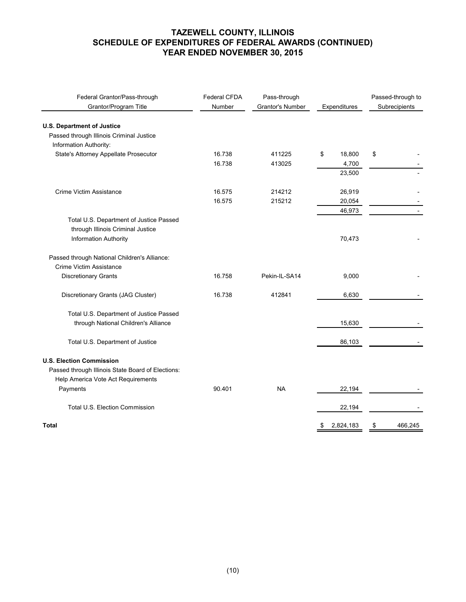| Federal Grantor/Pass-through<br>Grantor/Program Title                        | <b>Federal CFDA</b><br>Number | Pass-through<br>Grantor's Number<br>Expenditures |              | Passed-through to<br>Subrecipients |
|------------------------------------------------------------------------------|-------------------------------|--------------------------------------------------|--------------|------------------------------------|
| <b>U.S. Department of Justice</b>                                            |                               |                                                  |              |                                    |
| Passed through Illinois Criminal Justice<br>Information Authority:           |                               |                                                  |              |                                    |
| State's Attorney Appellate Prosecutor                                        | 16.738                        | 411225                                           | \$<br>18,800 | \$                                 |
|                                                                              | 16.738                        | 413025                                           | 4,700        |                                    |
|                                                                              |                               |                                                  | 23,500       |                                    |
| Crime Victim Assistance                                                      | 16.575                        | 214212                                           | 26,919       |                                    |
|                                                                              | 16.575                        | 215212                                           | 20,054       |                                    |
|                                                                              |                               |                                                  | 46,973       |                                    |
| Total U.S. Department of Justice Passed<br>through Illinois Criminal Justice |                               |                                                  |              |                                    |
| <b>Information Authority</b>                                                 |                               |                                                  | 70,473       |                                    |
|                                                                              |                               |                                                  |              |                                    |
| Passed through National Children's Alliance:                                 |                               |                                                  |              |                                    |
| <b>Crime Victim Assistance</b>                                               |                               |                                                  |              |                                    |
| <b>Discretionary Grants</b>                                                  | 16.758                        | Pekin-IL-SA14                                    | 9,000        |                                    |
| Discretionary Grants (JAG Cluster)                                           | 16.738                        | 412841                                           | 6,630        |                                    |
|                                                                              |                               |                                                  |              |                                    |
| Total U.S. Department of Justice Passed                                      |                               |                                                  |              |                                    |
| through National Children's Alliance                                         |                               |                                                  | 15,630       |                                    |
|                                                                              |                               |                                                  |              |                                    |
| Total U.S. Department of Justice                                             |                               |                                                  | 86,103       |                                    |
| <b>U.S. Election Commission</b>                                              |                               |                                                  |              |                                    |
| Passed through Illinois State Board of Elections:                            |                               |                                                  |              |                                    |
| Help America Vote Act Requirements                                           |                               |                                                  |              |                                    |
| Payments                                                                     | 90.401                        | <b>NA</b>                                        | 22,194       |                                    |
| Total U.S. Election Commission                                               |                               |                                                  | 22,194       |                                    |
|                                                                              |                               |                                                  |              |                                    |
| <b>Total</b>                                                                 |                               |                                                  | 2,824,183    | 466,245<br>\$                      |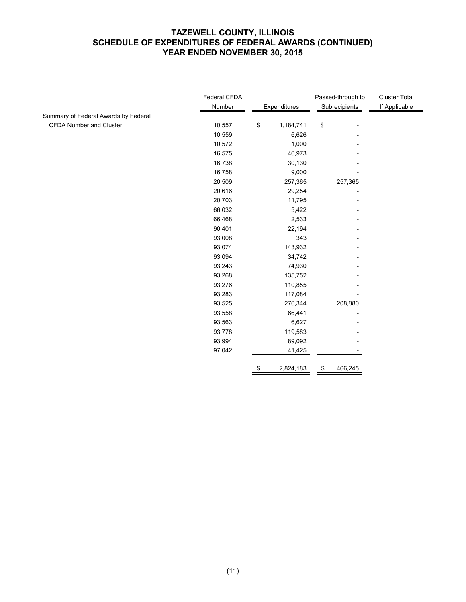|                                      | Federal CFDA<br>Number | Expenditures    | Passed-through to<br>Subrecipients | <b>Cluster Total</b><br>If Applicable |
|--------------------------------------|------------------------|-----------------|------------------------------------|---------------------------------------|
| Summary of Federal Awards by Federal |                        |                 |                                    |                                       |
| CFDA Number and Cluster              | 10.557                 | \$<br>1,184,741 | \$                                 |                                       |
|                                      | 10.559                 | 6,626           |                                    |                                       |
|                                      | 10.572                 | 1,000           |                                    |                                       |
|                                      | 16.575                 | 46,973          |                                    |                                       |
|                                      | 16.738                 | 30,130          |                                    |                                       |
|                                      | 16.758                 | 9,000           |                                    |                                       |
|                                      | 20.509                 | 257,365         | 257,365                            |                                       |
|                                      | 20.616                 | 29,254          |                                    |                                       |
|                                      | 20.703                 | 11,795          |                                    |                                       |
|                                      | 66.032                 | 5,422           |                                    |                                       |
|                                      | 66.468                 | 2,533           |                                    |                                       |
|                                      | 90.401                 | 22,194          |                                    |                                       |
|                                      | 93.008                 | 343             |                                    |                                       |
|                                      | 93.074                 | 143,932         |                                    |                                       |
|                                      | 93.094                 | 34,742          |                                    |                                       |
|                                      | 93.243                 | 74,930          |                                    |                                       |
|                                      | 93.268                 | 135,752         |                                    |                                       |
|                                      | 93.276                 | 110,855         |                                    |                                       |
|                                      | 93.283                 | 117,084         |                                    |                                       |
|                                      | 93.525                 | 276,344         | 208,880                            |                                       |
|                                      | 93.558                 | 66,441          |                                    |                                       |
|                                      | 93.563                 | 6,627           |                                    |                                       |
|                                      | 93.778                 | 119,583         |                                    |                                       |
|                                      | 93.994                 | 89,092          |                                    |                                       |
|                                      | 97.042                 | 41,425          |                                    |                                       |
|                                      |                        | \$<br>2,824,183 | 466,245<br>\$                      |                                       |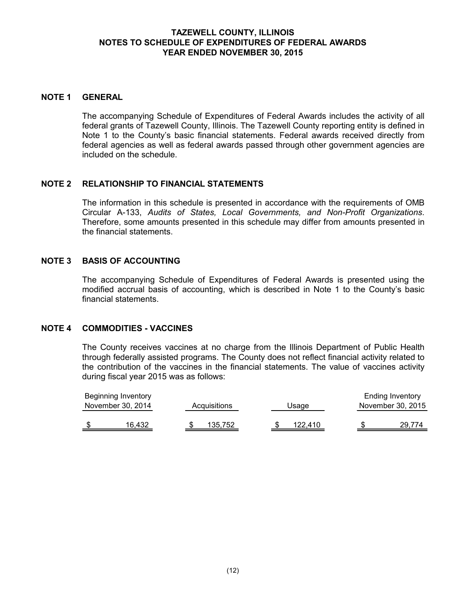# **TAZEWELL COUNTY, ILLINOIS NOTES TO SCHEDULE OF EXPENDITURES OF FEDERAL AWARDS YEAR ENDED NOVEMBER 30, 2015**

### **NOTE 1 GENERAL**

The accompanying Schedule of Expenditures of Federal Awards includes the activity of all federal grants of Tazewell County, Illinois. The Tazewell County reporting entity is defined in Note 1 to the County's basic financial statements. Federal awards received directly from federal agencies as well as federal awards passed through other government agencies are included on the schedule.

### **NOTE 2 RELATIONSHIP TO FINANCIAL STATEMENTS**

The information in this schedule is presented in accordance with the requirements of OMB Circular A-133, *Audits of States, Local Governments, and Non-Profit Organizations*. Therefore, some amounts presented in this schedule may differ from amounts presented in the financial statements.

# **NOTE 3 BASIS OF ACCOUNTING**

The accompanying Schedule of Expenditures of Federal Awards is presented using the modified accrual basis of accounting, which is described in Note 1 to the County's basic financial statements.

## **NOTE 4 COMMODITIES - VACCINES**

The County receives vaccines at no charge from the Illinois Department of Public Health through federally assisted programs. The County does not reflect financial activity related to the contribution of the vaccines in the financial statements. The value of vaccines activity during fiscal year 2015 was as follows:

| <b>Beginning Inventory</b> |        |              |         | <b>Ending Inventory</b> |
|----------------------------|--------|--------------|---------|-------------------------|
| November 30, 2014          |        | Acquisitions | Usage   | November 30, 2015       |
|                            |        |              |         |                         |
|                            | 16.432 | 135,752      | 122.410 | 29.774                  |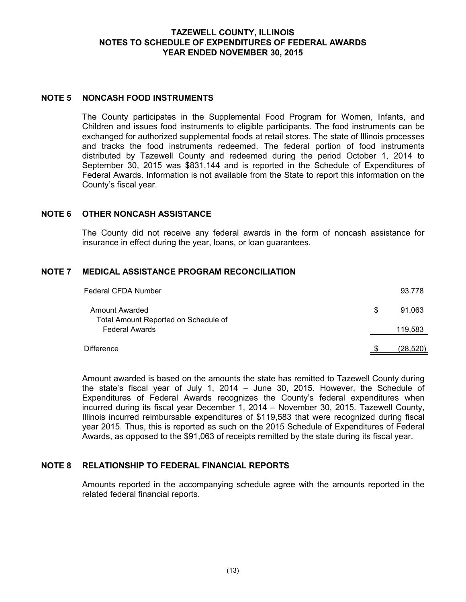# **TAZEWELL COUNTY, ILLINOIS NOTES TO SCHEDULE OF EXPENDITURES OF FEDERAL AWARDS YEAR ENDED NOVEMBER 30, 2015**

### **NOTE 5 NONCASH FOOD INSTRUMENTS**

The County participates in the Supplemental Food Program for Women, Infants, and Children and issues food instruments to eligible participants. The food instruments can be exchanged for authorized supplemental foods at retail stores. The state of Illinois processes and tracks the food instruments redeemed. The federal portion of food instruments distributed by Tazewell County and redeemed during the period October 1, 2014 to September 30, 2015 was \$831,144 and is reported in the Schedule of Expenditures of Federal Awards. Information is not available from the State to report this information on the County's fiscal year.

# **NOTE 6 OTHER NONCASH ASSISTANCE**

The County did not receive any federal awards in the form of noncash assistance for insurance in effect during the year, loans, or loan guarantees.

# **NOTE 7 MEDICAL ASSISTANCE PROGRAM RECONCILIATION**

| Difference                                                    |   | (28,520) |
|---------------------------------------------------------------|---|----------|
| Total Amount Reported on Schedule of<br><b>Federal Awards</b> |   | 119,583  |
| Amount Awarded                                                | S | 91.063   |
| Federal CFDA Number                                           |   | 93.778   |

Amount awarded is based on the amounts the state has remitted to Tazewell County during the state's fiscal year of July 1, 2014 – June 30, 2015. However, the Schedule of Expenditures of Federal Awards recognizes the County's federal expenditures when incurred during its fiscal year December 1, 2014 – November 30, 2015. Tazewell County, Illinois incurred reimbursable expenditures of \$119,583 that were recognized during fiscal year 2015. Thus, this is reported as such on the 2015 Schedule of Expenditures of Federal Awards, as opposed to the \$91,063 of receipts remitted by the state during its fiscal year.

### **NOTE 8 RELATIONSHIP TO FEDERAL FINANCIAL REPORTS**

Amounts reported in the accompanying schedule agree with the amounts reported in the related federal financial reports.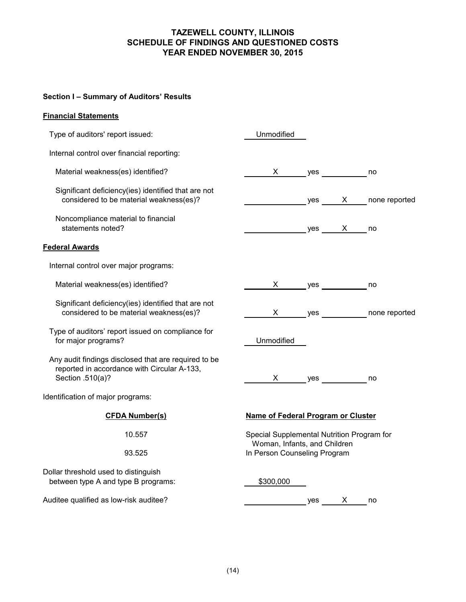# **Section I – Summary of Auditors' Results**

### **Financial Statements**

| Type of auditors' report issued:                                                                                        | Unmodified                                                                                                                                                                                                                                                                                                                                                                                                                        |     |                                                                                                                |                   |
|-------------------------------------------------------------------------------------------------------------------------|-----------------------------------------------------------------------------------------------------------------------------------------------------------------------------------------------------------------------------------------------------------------------------------------------------------------------------------------------------------------------------------------------------------------------------------|-----|----------------------------------------------------------------------------------------------------------------|-------------------|
| Internal control over financial reporting:                                                                              |                                                                                                                                                                                                                                                                                                                                                                                                                                   |     |                                                                                                                |                   |
| Material weakness(es) identified?                                                                                       |                                                                                                                                                                                                                                                                                                                                                                                                                                   |     | X yes                                                                                                          | no                |
| Significant deficiency(ies) identified that are not<br>considered to be material weakness(es)?                          |                                                                                                                                                                                                                                                                                                                                                                                                                                   | yes |                                                                                                                | X none reported   |
| Noncompliance material to financial<br>statements noted?                                                                |                                                                                                                                                                                                                                                                                                                                                                                                                                   |     | _____ yes ______X no                                                                                           |                   |
| <b>Federal Awards</b>                                                                                                   |                                                                                                                                                                                                                                                                                                                                                                                                                                   |     |                                                                                                                |                   |
| Internal control over major programs:                                                                                   |                                                                                                                                                                                                                                                                                                                                                                                                                                   |     |                                                                                                                |                   |
| Material weakness(es) identified?                                                                                       | $\boldsymbol{\mathsf{X}}$ and $\boldsymbol{\mathsf{X}}$ and $\boldsymbol{\mathsf{X}}$ and $\boldsymbol{\mathsf{X}}$ and $\boldsymbol{\mathsf{X}}$ and $\boldsymbol{\mathsf{X}}$ and $\boldsymbol{\mathsf{X}}$ and $\boldsymbol{\mathsf{X}}$ and $\boldsymbol{\mathsf{X}}$ and $\boldsymbol{\mathsf{X}}$ and $\boldsymbol{\mathsf{X}}$ and $\boldsymbol{\mathsf{X}}$ and $\boldsymbol{\mathsf{X}}$ and $\boldsymbol{\mathsf{X}}$ a |     | yes and the set of the set of the set of the set of the set of the set of the set of the set of the set of the | no                |
| Significant deficiency(ies) identified that are not<br>considered to be material weakness(es)?                          | $\boldsymbol{\mathsf{X}}$ and $\boldsymbol{\mathsf{X}}$ and $\boldsymbol{\mathsf{X}}$ and $\boldsymbol{\mathsf{X}}$ and $\boldsymbol{\mathsf{X}}$ and $\boldsymbol{\mathsf{X}}$ and $\boldsymbol{\mathsf{X}}$ and $\boldsymbol{\mathsf{X}}$ and $\boldsymbol{\mathsf{X}}$ and $\boldsymbol{\mathsf{X}}$ and $\boldsymbol{\mathsf{X}}$ and $\boldsymbol{\mathsf{X}}$ and $\boldsymbol{\mathsf{X}}$ and $\boldsymbol{\mathsf{X}}$ a |     |                                                                                                                | yes none reported |
| Type of auditors' report issued on compliance for<br>for major programs?                                                | <b>Unmodified</b>                                                                                                                                                                                                                                                                                                                                                                                                                 |     |                                                                                                                |                   |
| Any audit findings disclosed that are required to be<br>reported in accordance with Circular A-133,<br>Section .510(a)? | $X \qquad \qquad$ yes                                                                                                                                                                                                                                                                                                                                                                                                             |     |                                                                                                                | no                |
| Identification of major programs:                                                                                       |                                                                                                                                                                                                                                                                                                                                                                                                                                   |     |                                                                                                                |                   |
| <b>CFDA Number(s)</b>                                                                                                   | Name of Federal Program or Cluster                                                                                                                                                                                                                                                                                                                                                                                                |     |                                                                                                                |                   |
| 10.557                                                                                                                  | Special Supplemental Nutrition Program for                                                                                                                                                                                                                                                                                                                                                                                        |     |                                                                                                                |                   |
| 93.525                                                                                                                  | Woman, Infants, and Children<br>In Person Counseling Program                                                                                                                                                                                                                                                                                                                                                                      |     |                                                                                                                |                   |
| Dollar threshold used to distinguish<br>between type A and type B programs:                                             | \$300,000                                                                                                                                                                                                                                                                                                                                                                                                                         |     |                                                                                                                |                   |
| Auditee qualified as low-risk auditee?                                                                                  |                                                                                                                                                                                                                                                                                                                                                                                                                                   | yes | X,                                                                                                             | no                |
|                                                                                                                         |                                                                                                                                                                                                                                                                                                                                                                                                                                   |     |                                                                                                                |                   |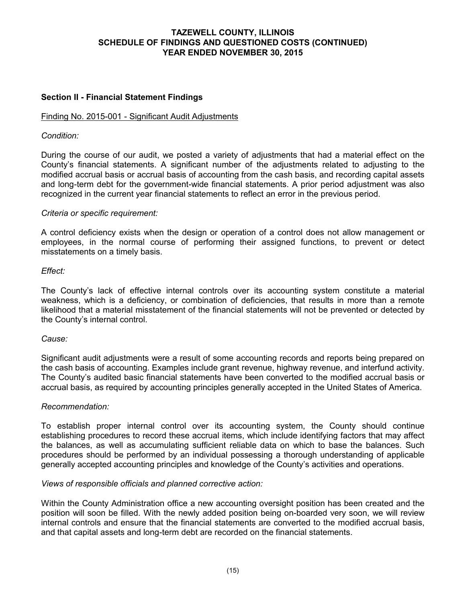# **Section II - Financial Statement Findings**

## Finding No. 2015-001 - Significant Audit Adjustments

### *Condition:*

During the course of our audit, we posted a variety of adjustments that had a material effect on the County's financial statements. A significant number of the adjustments related to adjusting to the modified accrual basis or accrual basis of accounting from the cash basis, and recording capital assets and long-term debt for the government-wide financial statements. A prior period adjustment was also recognized in the current year financial statements to reflect an error in the previous period.

### *Criteria or specific requirement:*

A control deficiency exists when the design or operation of a control does not allow management or employees, in the normal course of performing their assigned functions, to prevent or detect misstatements on a timely basis.

### *Effect:*

The County's lack of effective internal controls over its accounting system constitute a material weakness, which is a deficiency, or combination of deficiencies, that results in more than a remote likelihood that a material misstatement of the financial statements will not be prevented or detected by the County's internal control.

### *Cause:*

Significant audit adjustments were a result of some accounting records and reports being prepared on the cash basis of accounting. Examples include grant revenue, highway revenue, and interfund activity. The County's audited basic financial statements have been converted to the modified accrual basis or accrual basis, as required by accounting principles generally accepted in the United States of America.

### *Recommendation:*

To establish proper internal control over its accounting system, the County should continue establishing procedures to record these accrual items, which include identifying factors that may affect the balances, as well as accumulating sufficient reliable data on which to base the balances. Such procedures should be performed by an individual possessing a thorough understanding of applicable generally accepted accounting principles and knowledge of the County's activities and operations.

# *Views of responsible officials and planned corrective action:*

Within the County Administration office a new accounting oversight position has been created and the position will soon be filled. With the newly added position being on-boarded very soon, we will review internal controls and ensure that the financial statements are converted to the modified accrual basis, and that capital assets and long-term debt are recorded on the financial statements.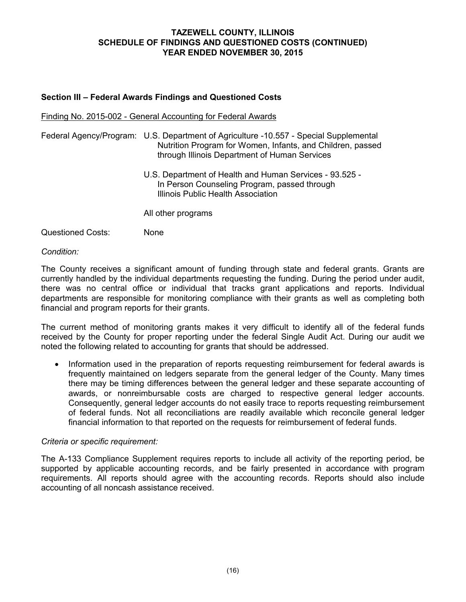# **Section III – Federal Awards Findings and Questioned Costs**

### Finding No. 2015-002 - General Accounting for Federal Awards

- Federal Agency/Program: U.S. Department of Agriculture -10.557 Special Supplemental Nutrition Program for Women, Infants, and Children, passed through Illinois Department of Human Services
	- U.S. Department of Health and Human Services 93.525 In Person Counseling Program, passed through Illinois Public Health Association
	- All other programs

Questioned Costs: None

### *Condition:*

The County receives a significant amount of funding through state and federal grants. Grants are currently handled by the individual departments requesting the funding. During the period under audit, there was no central office or individual that tracks grant applications and reports. Individual departments are responsible for monitoring compliance with their grants as well as completing both financial and program reports for their grants.

The current method of monitoring grants makes it very difficult to identify all of the federal funds received by the County for proper reporting under the federal Single Audit Act. During our audit we noted the following related to accounting for grants that should be addressed.

 Information used in the preparation of reports requesting reimbursement for federal awards is frequently maintained on ledgers separate from the general ledger of the County. Many times there may be timing differences between the general ledger and these separate accounting of awards, or nonreimbursable costs are charged to respective general ledger accounts. Consequently, general ledger accounts do not easily trace to reports requesting reimbursement of federal funds. Not all reconciliations are readily available which reconcile general ledger financial information to that reported on the requests for reimbursement of federal funds.

### *Criteria or specific requirement:*

The A-133 Compliance Supplement requires reports to include all activity of the reporting period, be supported by applicable accounting records, and be fairly presented in accordance with program requirements. All reports should agree with the accounting records. Reports should also include accounting of all noncash assistance received.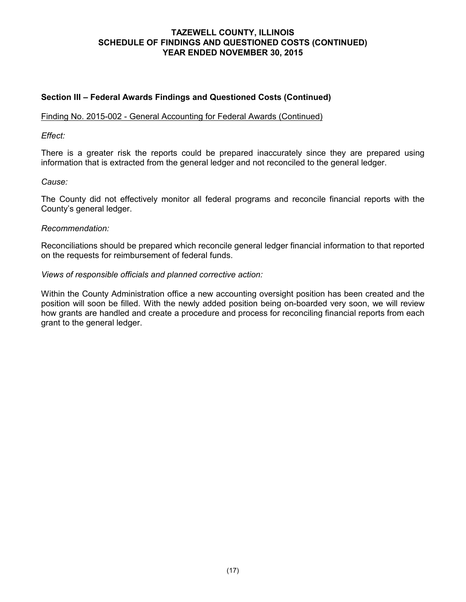# **Section III – Federal Awards Findings and Questioned Costs (Continued)**

### Finding No. 2015-002 - General Accounting for Federal Awards (Continued)

*Effect:*

There is a greater risk the reports could be prepared inaccurately since they are prepared using information that is extracted from the general ledger and not reconciled to the general ledger.

### *Cause:*

The County did not effectively monitor all federal programs and reconcile financial reports with the County's general ledger.

### *Recommendation:*

Reconciliations should be prepared which reconcile general ledger financial information to that reported on the requests for reimbursement of federal funds.

### *Views of responsible officials and planned corrective action:*

Within the County Administration office a new accounting oversight position has been created and the position will soon be filled. With the newly added position being on-boarded very soon, we will review how grants are handled and create a procedure and process for reconciling financial reports from each grant to the general ledger.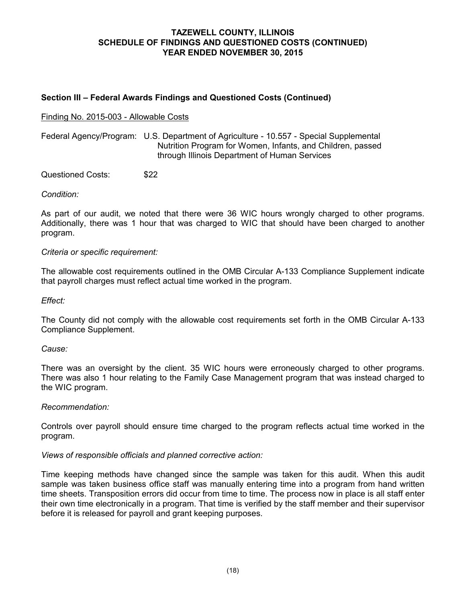# **Section III – Federal Awards Findings and Questioned Costs (Continued)**

## Finding No. 2015-003 - Allowable Costs

Federal Agency/Program: U.S. Department of Agriculture - 10.557 - Special Supplemental Nutrition Program for Women, Infants, and Children, passed through Illinois Department of Human Services

Questioned Costs: \$22

### *Condition:*

As part of our audit, we noted that there were 36 WIC hours wrongly charged to other programs. Additionally, there was 1 hour that was charged to WIC that should have been charged to another program.

### *Criteria or specific requirement:*

The allowable cost requirements outlined in the OMB Circular A-133 Compliance Supplement indicate that payroll charges must reflect actual time worked in the program.

*Effect:*

The County did not comply with the allowable cost requirements set forth in the OMB Circular A-133 Compliance Supplement.

### *Cause:*

There was an oversight by the client. 35 WIC hours were erroneously charged to other programs. There was also 1 hour relating to the Family Case Management program that was instead charged to the WIC program.

### *Recommendation:*

Controls over payroll should ensure time charged to the program reflects actual time worked in the program.

### *Views of responsible officials and planned corrective action:*

Time keeping methods have changed since the sample was taken for this audit. When this audit sample was taken business office staff was manually entering time into a program from hand written time sheets. Transposition errors did occur from time to time. The process now in place is all staff enter their own time electronically in a program. That time is verified by the staff member and their supervisor before it is released for payroll and grant keeping purposes.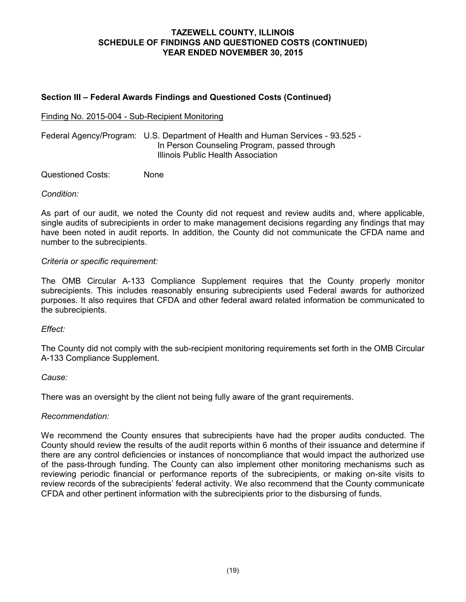# **Section III – Federal Awards Findings and Questioned Costs (Continued)**

## Finding No. 2015-004 - Sub-Recipient Monitoring

| Federal Agency/Program: U.S. Department of Health and Human Services - 93.525 - |
|---------------------------------------------------------------------------------|
| In Person Counseling Program, passed through                                    |
| Illinois Public Health Association                                              |

Questioned Costs: None

### *Condition:*

As part of our audit, we noted the County did not request and review audits and, where applicable, single audits of subrecipients in order to make management decisions regarding any findings that may have been noted in audit reports. In addition, the County did not communicate the CFDA name and number to the subrecipients.

# *Criteria or specific requirement:*

The OMB Circular A-133 Compliance Supplement requires that the County properly monitor subrecipients. This includes reasonably ensuring subrecipients used Federal awards for authorized purposes. It also requires that CFDA and other federal award related information be communicated to the subrecipients.

# *Effect:*

The County did not comply with the sub-recipient monitoring requirements set forth in the OMB Circular A-133 Compliance Supplement.

### *Cause:*

There was an oversight by the client not being fully aware of the grant requirements.

### *Recommendation:*

We recommend the County ensures that subrecipients have had the proper audits conducted. The County should review the results of the audit reports within 6 months of their issuance and determine if there are any control deficiencies or instances of noncompliance that would impact the authorized use of the pass-through funding. The County can also implement other monitoring mechanisms such as reviewing periodic financial or performance reports of the subrecipients, or making on-site visits to review records of the subrecipients' federal activity. We also recommend that the County communicate CFDA and other pertinent information with the subrecipients prior to the disbursing of funds.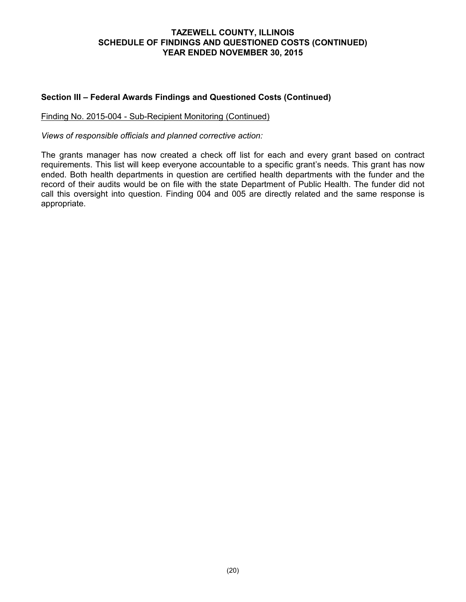# **Section III – Federal Awards Findings and Questioned Costs (Continued)**

### Finding No. 2015-004 - Sub-Recipient Monitoring (Continued)

*Views of responsible officials and planned corrective action:*

The grants manager has now created a check off list for each and every grant based on contract requirements. This list will keep everyone accountable to a specific grant's needs. This grant has now ended. Both health departments in question are certified health departments with the funder and the record of their audits would be on file with the state Department of Public Health. The funder did not call this oversight into question. Finding 004 and 005 are directly related and the same response is appropriate.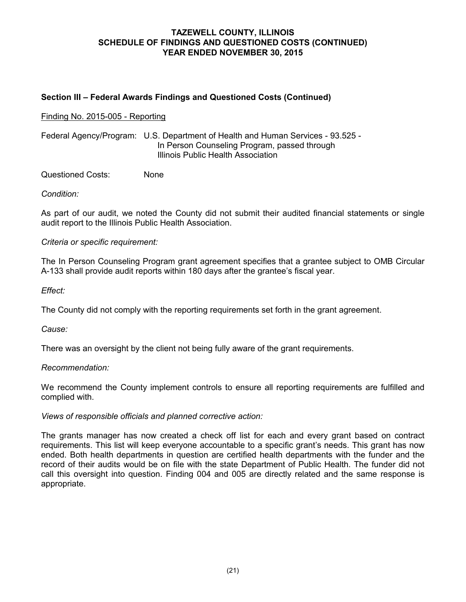# **Section III – Federal Awards Findings and Questioned Costs (Continued)**

## Finding No. 2015-005 - Reporting

Federal Agency/Program: U.S. Department of Health and Human Services - 93.525 - In Person Counseling Program, passed through Illinois Public Health Association

Questioned Costs: None

### *Condition:*

As part of our audit, we noted the County did not submit their audited financial statements or single audit report to the Illinois Public Health Association.

# *Criteria or specific requirement:*

The In Person Counseling Program grant agreement specifies that a grantee subject to OMB Circular A-133 shall provide audit reports within 180 days after the grantee's fiscal year.

*Effect:*

The County did not comply with the reporting requirements set forth in the grant agreement.

*Cause:*

There was an oversight by the client not being fully aware of the grant requirements.

### *Recommendation:*

We recommend the County implement controls to ensure all reporting requirements are fulfilled and complied with.

### *Views of responsible officials and planned corrective action:*

The grants manager has now created a check off list for each and every grant based on contract requirements. This list will keep everyone accountable to a specific grant's needs. This grant has now ended. Both health departments in question are certified health departments with the funder and the record of their audits would be on file with the state Department of Public Health. The funder did not call this oversight into question. Finding 004 and 005 are directly related and the same response is appropriate.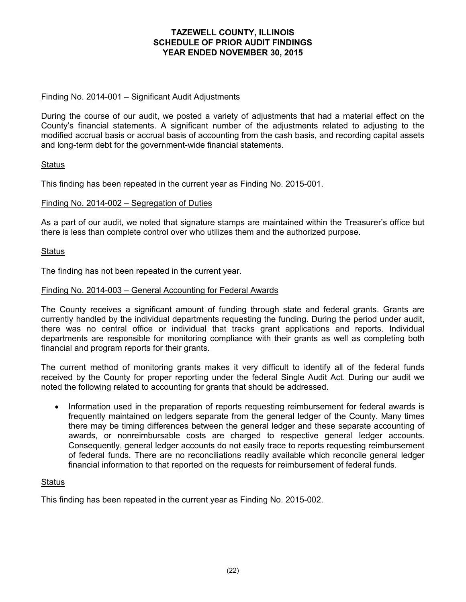# **TAZEWELL COUNTY, ILLINOIS SCHEDULE OF PRIOR AUDIT FINDINGS YEAR ENDED NOVEMBER 30, 2015**

## Finding No. 2014-001 – Significant Audit Adjustments

During the course of our audit, we posted a variety of adjustments that had a material effect on the County's financial statements. A significant number of the adjustments related to adjusting to the modified accrual basis or accrual basis of accounting from the cash basis, and recording capital assets and long-term debt for the government-wide financial statements.

### **Status**

This finding has been repeated in the current year as Finding No. 2015-001.

### Finding No. 2014-002 – Segregation of Duties

As a part of our audit, we noted that signature stamps are maintained within the Treasurer's office but there is less than complete control over who utilizes them and the authorized purpose.

### **Status**

The finding has not been repeated in the current year.

#### Finding No. 2014-003 – General Accounting for Federal Awards

The County receives a significant amount of funding through state and federal grants. Grants are currently handled by the individual departments requesting the funding. During the period under audit, there was no central office or individual that tracks grant applications and reports. Individual departments are responsible for monitoring compliance with their grants as well as completing both financial and program reports for their grants.

The current method of monitoring grants makes it very difficult to identify all of the federal funds received by the County for proper reporting under the federal Single Audit Act. During our audit we noted the following related to accounting for grants that should be addressed.

 Information used in the preparation of reports requesting reimbursement for federal awards is frequently maintained on ledgers separate from the general ledger of the County. Many times there may be timing differences between the general ledger and these separate accounting of awards, or nonreimbursable costs are charged to respective general ledger accounts. Consequently, general ledger accounts do not easily trace to reports requesting reimbursement of federal funds. There are no reconciliations readily available which reconcile general ledger financial information to that reported on the requests for reimbursement of federal funds.

### **Status**

This finding has been repeated in the current year as Finding No. 2015-002.